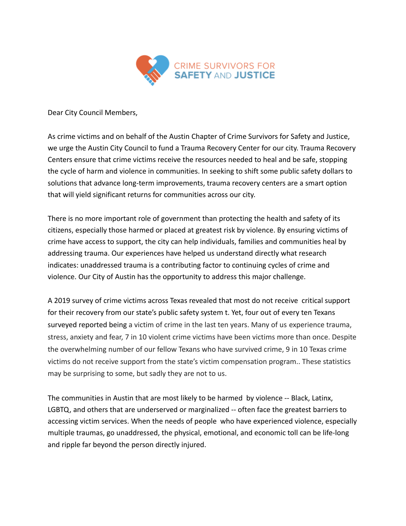

Dear City Council Members,

As crime victims and on behalf of the Austin Chapter of Crime Survivors for Safety and Justice, we urge the Austin City Council to fund a Trauma Recovery Center for our city. Trauma Recovery Centers ensure that crime victims receive the resources needed to heal and be safe, stopping the cycle of harm and violence in communities. In seeking to shift some public safety dollars to solutions that advance long-term improvements, trauma recovery centers are a smart option that will yield significant returns for communities across our city.

There is no more important role of government than protecting the health and safety of its citizens, especially those harmed or placed at greatest risk by violence. By ensuring victims of crime have access to support, the city can help individuals, families and communities heal by addressing trauma. Our experiences have helped us understand directly what research indicates: unaddressed trauma is a contributing factor to continuing cycles of crime and violence. Our City of Austin has the opportunity to address this major challenge.

A 2019 survey of crime victims across Texas revealed that most do not receive critical support for their recovery from our state's public safety system t. Yet, four out of every ten Texans surveyed reported being a victim of crime in the last ten years. Many of us experience trauma, stress, anxiety and fear, 7 in 10 violent crime victims have been victims more than once. Despite the overwhelming number of our fellow Texans who have survived crime, 9 in 10 Texas crime victims do not receive support from the state's victim compensation program.. These statistics may be surprising to some, but sadly they are not to us.

The communities in Austin that are most likely to be harmed by violence -- Black, Latinx, LGBTQ, and others that are underserved or marginalized -- often face the greatest barriers to accessing victim services. When the needs of people who have experienced violence, especially multiple traumas, go unaddressed, the physical, emotional, and economic toll can be life-long and ripple far beyond the person directly injured.